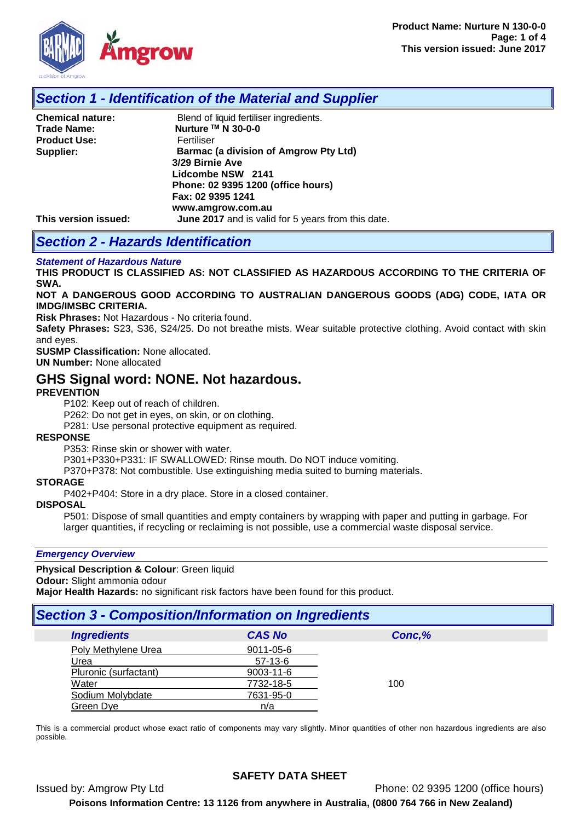

### *Section 1 - Identification of the Material and Supplier*

| <b>Chemical nature:</b> | Blend of liquid fertiliser ingredients.            |
|-------------------------|----------------------------------------------------|
| <b>Trade Name:</b>      | Nurture ™ N 30-0-0                                 |
| <b>Product Use:</b>     | Fertiliser                                         |
| Supplier:               | <b>Barmac (a division of Amgrow Pty Ltd)</b>       |
|                         | 3/29 Birnie Ave                                    |
|                         | Lidcombe NSW 2141                                  |
|                         | Phone: 02 9395 1200 (office hours)                 |
|                         | Fax: 02 9395 1241                                  |
|                         | www.amgrow.com.au                                  |
| This version issued:    | June 2017 and is valid for 5 years from this date. |

# *Section 2 - Hazards Identification*

#### *Statement of Hazardous Nature*

**THIS PRODUCT IS CLASSIFIED AS: NOT CLASSIFIED AS HAZARDOUS ACCORDING TO THE CRITERIA OF SWA.** 

**NOT A DANGEROUS GOOD ACCORDING TO AUSTRALIAN DANGEROUS GOODS (ADG) CODE, IATA OR IMDG/IMSBC CRITERIA.**

**Risk Phrases:** Not Hazardous - No criteria found.

**Safety Phrases:** S23, S36, S24/25. Do not breathe mists. Wear suitable protective clothing. Avoid contact with skin and eyes.

**SUSMP Classification:** None allocated. **UN Number:** None allocated

### **GHS Signal word: NONE. Not hazardous.**

#### **PREVENTION**

P102: Keep out of reach of children.

P262: Do not get in eyes, on skin, or on clothing.

P281: Use personal protective equipment as required.

#### **RESPONSE**

P353: Rinse skin or shower with water.

P301+P330+P331: IF SWALLOWED: Rinse mouth. Do NOT induce vomiting.

P370+P378: Not combustible. Use extinguishing media suited to burning materials.

#### **STORAGE**

P402+P404: Store in a dry place. Store in a closed container.

### **DISPOSAL**

P501: Dispose of small quantities and empty containers by wrapping with paper and putting in garbage. For larger quantities, if recycling or reclaiming is not possible, use a commercial waste disposal service.

#### *Emergency Overview*

#### **Physical Description & Colour**: Green liquid

**Odour:** Slight ammonia odour

**Major Health Hazards:** no significant risk factors have been found for this product.

### *Section 3 - Composition/Information on Ingredients*

| <b>Ingredients</b>    | <b>CAS No</b> | Conc,% |
|-----------------------|---------------|--------|
| Poly Methylene Urea   | 9011-05-6     |        |
| Urea                  | $57-13-6$     |        |
| Pluronic (surfactant) | 9003-11-6     |        |
| Water                 | 7732-18-5     | 100    |
| Sodium Molybdate      | 7631-95-0     |        |
| Green Dye             | n/a           |        |

This is a commercial product whose exact ratio of components may vary slightly. Minor quantities of other non hazardous ingredients are also possible.

### **SAFETY DATA SHEET**

Issued by: Amgrow Pty Ltd Phone: 02 9395 1200 (office hours)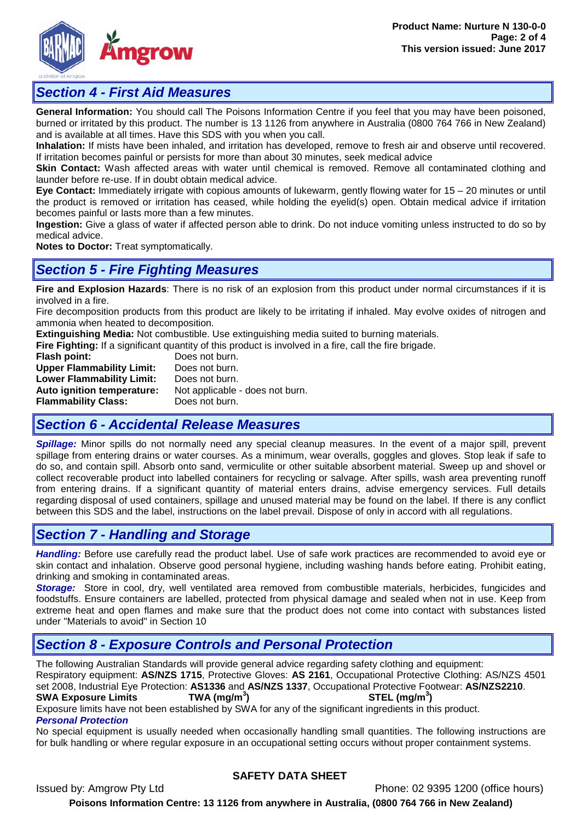

### *Section 4 - First Aid Measures*

**General Information:** You should call The Poisons Information Centre if you feel that you may have been poisoned, burned or irritated by this product. The number is 13 1126 from anywhere in Australia (0800 764 766 in New Zealand) and is available at all times. Have this SDS with you when you call.

**Inhalation:** If mists have been inhaled, and irritation has developed, remove to fresh air and observe until recovered. If irritation becomes painful or persists for more than about 30 minutes, seek medical advice

**Skin Contact:** Wash affected areas with water until chemical is removed. Remove all contaminated clothing and launder before re-use. If in doubt obtain medical advice.

**Eye Contact:** Immediately irrigate with copious amounts of lukewarm, gently flowing water for 15 – 20 minutes or until the product is removed or irritation has ceased, while holding the eyelid(s) open. Obtain medical advice if irritation becomes painful or lasts more than a few minutes.

**Ingestion:** Give a glass of water if affected person able to drink. Do not induce vomiting unless instructed to do so by medical advice.

**Notes to Doctor:** Treat symptomatically.

### *Section 5 - Fire Fighting Measures*

**Fire and Explosion Hazards**: There is no risk of an explosion from this product under normal circumstances if it is involved in a fire.

Fire decomposition products from this product are likely to be irritating if inhaled. May evolve oxides of nitrogen and ammonia when heated to decomposition.

**Extinguishing Media:** Not combustible. Use extinguishing media suited to burning materials.

**Fire Fighting:** If a significant quantity of this product is involved in a fire, call the fire brigade.<br> **Flash point:** Does not burn.

Does not burn.<br>Does not burn. **Upper Flammability Limit:** Does not burn.<br>**Lower Flammability Limit:** Does not burn. **Lower Flammability Limit: Auto ignition temperature:** Not applicable - does not burn. **Flammability Class:** Does not burn.

# *Section 6 - Accidental Release Measures*

*Spillage:* Minor spills do not normally need any special cleanup measures. In the event of a major spill, prevent spillage from entering drains or water courses. As a minimum, wear overalls, goggles and gloves. Stop leak if safe to do so, and contain spill. Absorb onto sand, vermiculite or other suitable absorbent material. Sweep up and shovel or collect recoverable product into labelled containers for recycling or salvage. After spills, wash area preventing runoff from entering drains. If a significant quantity of material enters drains, advise emergency services. Full details regarding disposal of used containers, spillage and unused material may be found on the label. If there is any conflict between this SDS and the label, instructions on the label prevail. Dispose of only in accord with all regulations.

# *Section 7 - Handling and Storage*

*Handling:* Before use carefully read the product label. Use of safe work practices are recommended to avoid eye or skin contact and inhalation. Observe good personal hygiene, including washing hands before eating. Prohibit eating, drinking and smoking in contaminated areas.

*Storage:*Store in cool, dry, well ventilated area removed from combustible materials, herbicides, fungicides and foodstuffs. Ensure containers are labelled, protected from physical damage and sealed when not in use. Keep from extreme heat and open flames and make sure that the product does not come into contact with substances listed under "Materials to avoid" in Section 10

# *Section 8 - Exposure Controls and Personal Protection*

The following Australian Standards will provide general advice regarding safety clothing and equipment:

Respiratory equipment: **AS/NZS 1715**, Protective Gloves: **AS 2161**, Occupational Protective Clothing: AS/NZS 4501 set 2008, Industrial Eye Protection: **AS1336** and **AS/NZS 1337**, Occupational Protective Footwear: **AS/NZS2210**.

#### **SWA Exposure Limits ) STEL (mg/m<sup>3</sup> )**

Exposure limits have not been established by SWA for any of the significant ingredients in this product. *Personal Protection*

No special equipment is usually needed when occasionally handling small quantities. The following instructions are for bulk handling or where regular exposure in an occupational setting occurs without proper containment systems.

### **SAFETY DATA SHEET**

Issued by: Amgrow Pty Ltd Phone: 02 9395 1200 (office hours)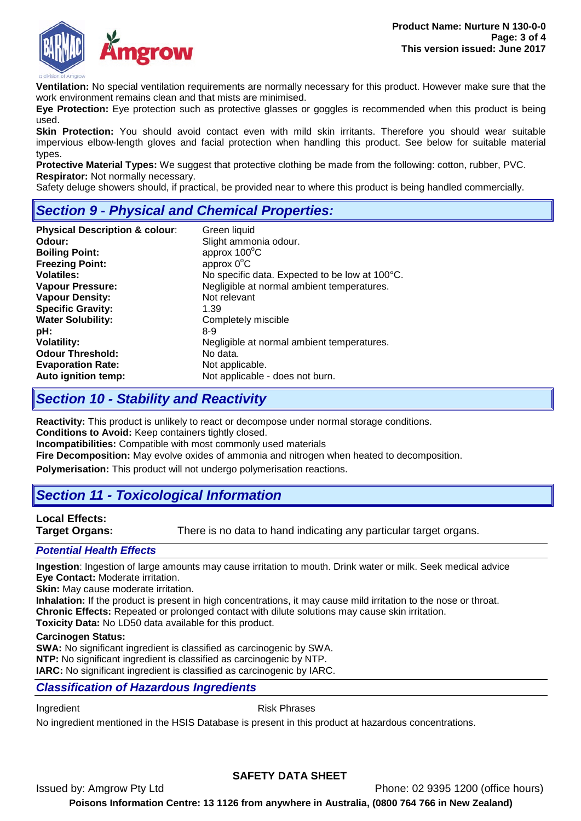

**Ventilation:** No special ventilation requirements are normally necessary for this product. However make sure that the work environment remains clean and that mists are minimised.

**Eye Protection:** Eye protection such as protective glasses or goggles is recommended when this product is being used.

**Skin Protection:** You should avoid contact even with mild skin irritants. Therefore you should wear suitable impervious elbow-length gloves and facial protection when handling this product. See below for suitable material types.

**Protective Material Types:** We suggest that protective clothing be made from the following: cotton, rubber, PVC. **Respirator:** Not normally necessary.

Safety deluge showers should, if practical, be provided near to where this product is being handled commercially.

# *Section 9 - Physical and Chemical Properties:*

| <b>Physical Description &amp; colour:</b> | Green liquid                                   |
|-------------------------------------------|------------------------------------------------|
| Odour:                                    | Slight ammonia odour.                          |
| <b>Boiling Point:</b>                     | approx $100^{\circ}$ C                         |
| <b>Freezing Point:</b>                    | approx $0^{\circ}$ C                           |
| <b>Volatiles:</b>                         | No specific data. Expected to be low at 100°C. |
| <b>Vapour Pressure:</b>                   | Negligible at normal ambient temperatures.     |
| <b>Vapour Density:</b>                    | Not relevant                                   |
| <b>Specific Gravity:</b>                  | 1.39                                           |
| <b>Water Solubility:</b>                  | Completely miscible                            |
| pH:                                       | 8-9                                            |
| <b>Volatility:</b>                        | Negligible at normal ambient temperatures.     |
| <b>Odour Threshold:</b>                   | No data.                                       |
| <b>Evaporation Rate:</b>                  | Not applicable.                                |
| Auto ignition temp:                       | Not applicable - does not burn.                |

### *Section 10 - Stability and Reactivity*

**Reactivity:** This product is unlikely to react or decompose under normal storage conditions.

**Conditions to Avoid:** Keep containers tightly closed.

**Incompatibilities:** Compatible with most commonly used materials

**Fire Decomposition:** May evolve oxides of ammonia and nitrogen when heated to decomposition.

**Polymerisation:** This product will not undergo polymerisation reactions.

# *Section 11 - Toxicological Information*

# **Local Effects:**

**Target Organs:** There is no data to hand indicating any particular target organs.

### *Potential Health Effects*

**Ingestion**: Ingestion of large amounts may cause irritation to mouth. Drink water or milk. Seek medical advice **Eye Contact:** Moderate irritation.

**Skin:** May cause moderate irritation.

**Inhalation:** If the product is present in high concentrations, it may cause mild irritation to the nose or throat. **Chronic Effects:** Repeated or prolonged contact with dilute solutions may cause skin irritation. **Toxicity Data:** No LD50 data available for this product.

#### **Carcinogen Status:**

**SWA:** No significant ingredient is classified as carcinogenic by SWA. **NTP:** No significant ingredient is classified as carcinogenic by NTP. **IARC:** No significant ingredient is classified as carcinogenic by IARC.

### *Classification of Hazardous Ingredients*

Ingredient **Ingredient** Risk Phrases

No ingredient mentioned in the HSIS Database is present in this product at hazardous concentrations.

### **SAFETY DATA SHEET**

Issued by: Amgrow Pty Ltd Phone: 02 9395 1200 (office hours)